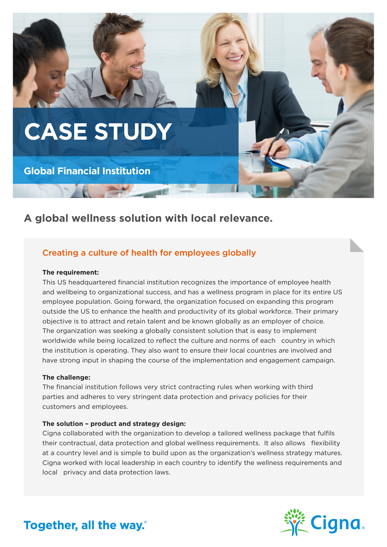

## **A global wellness solution with local relevance.**

### Creating a culture of health for employees globally

### **The requirement:**

This US headquartered financial institution recognizes the importance of employee health and wellbeing to organizational success, and has a wellness program in place for its entire US employee population. Going forward, the organization focused on expanding this program outside the US to enhance the health and productivity of its global workforce. Their primary objective is to attract and retain talent and be known globally as an employer of choice. The organization was seeking a globally consistent solution that is easy to implement worldwide while being localized to reflect the culture and norms of each country in which the institution is operating. They also want to ensure their local countries are involved and have strong input in shaping the course of the implementation and engagement campaign.

### **The challenge:**

The financial institution follows very strict contracting rules when working with third parties and adheres to very stringent data protection and privacy policies for their customers and employees.

### **The solution – product and strategy design:**

Cigna collaborated with the organization to develop a tailored wellness package that fulfils their contractual, data protection and global wellness requirements. It also allows flexibility at a country level and is simple to build upon as the organization's wellness strategy matures. Cigna worked with local leadership in each country to identify the wellness requirements and local privacy and data protection laws.



# Together, all the way.